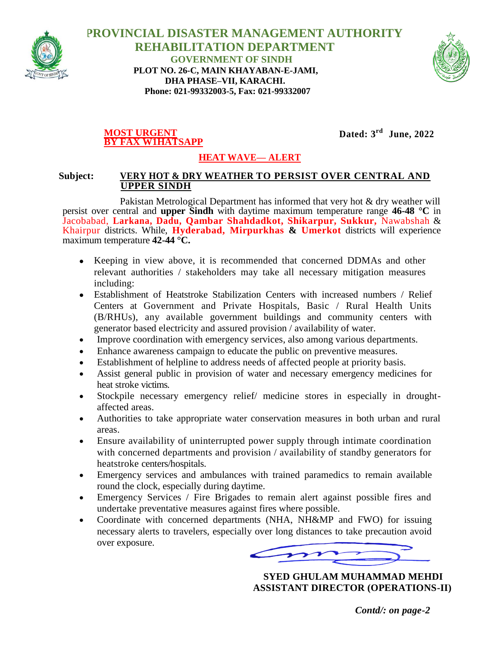

 **PROVINCIAL DISASTER MANAGEMENT AUTHORITY REHABILITATION DEPARTMENT GOVERNMENT OF SINDH PLOT NO. 26-C, MAIN KHAYABAN-E-JAMI, DHA PHASE–VII, KARACHI. Phone: 021-99332003-5, Fax: 021-99332007**



## **MOST URGENT BY FAX W1HATSAPP**

**Dated: 3 rd June, 2022**

## **HEAT WAVE— ALERT**

## **Subject: VERY HOT & DRY WEATHER TO PERSIST OVER CENTRAL AND UPPER SINDH**

Pakistan Metrological Department has informed that very hot & dry weather will persist over central and **upper Sindh** with daytime maximum temperature range **46-48 °C** in Jacobabad, **Larkana, Dadu, Qambar Shahdadkot, Shikarpur, Sukkur,** Nawabshah & Khairpur districts. While, **Hyderabad, Mirpurkhas & Umerkot** districts will experience maximum temperature **42-44 °C.**

- Keeping in view above, it is recommended that concerned DDMAs and other relevant authorities / stakeholders may take all necessary mitigation measures including:
- Establishment of Heatstroke Stabilization Centers with increased numbers / Relief Centers at Government and Private Hospitals, Basic / Rural Health Units (B/RHUs), any available government buildings and community centers with generator based electricity and assured provision / availability of water.
- Improve coordination with emergency services, also among various departments.
- Enhance awareness campaign to educate the public on preventive measures.
- Establishment of helpline to address needs of affected people at priority basis.
- Assist general public in provision of water and necessary emergency medicines for heat stroke victims.
- Stockpile necessary emergency relief/ medicine stores in especially in droughtaffected areas.
- Authorities to take appropriate water conservation measures in both urban and rural areas.
- Ensure availability of uninterrupted power supply through intimate coordination with concerned departments and provision / availability of standby generators for heatstroke centers/hospitals.
- Emergency services and ambulances with trained paramedics to remain available round the clock, especially during daytime.
- Emergency Services / Fire Brigades to remain alert against possible fires and undertake preventative measures against fires where possible.
- Coordinate with concerned departments (NHA, NH&MP and FWO) for issuing necessary alerts to travelers, especially over long distances to take precaution avoid over exposure.

 **SYED GHULAM MUHAMMAD MEHDI ASSISTANT DIRECTOR (OPERATIONS-II)**

*Contd/: on page-2*